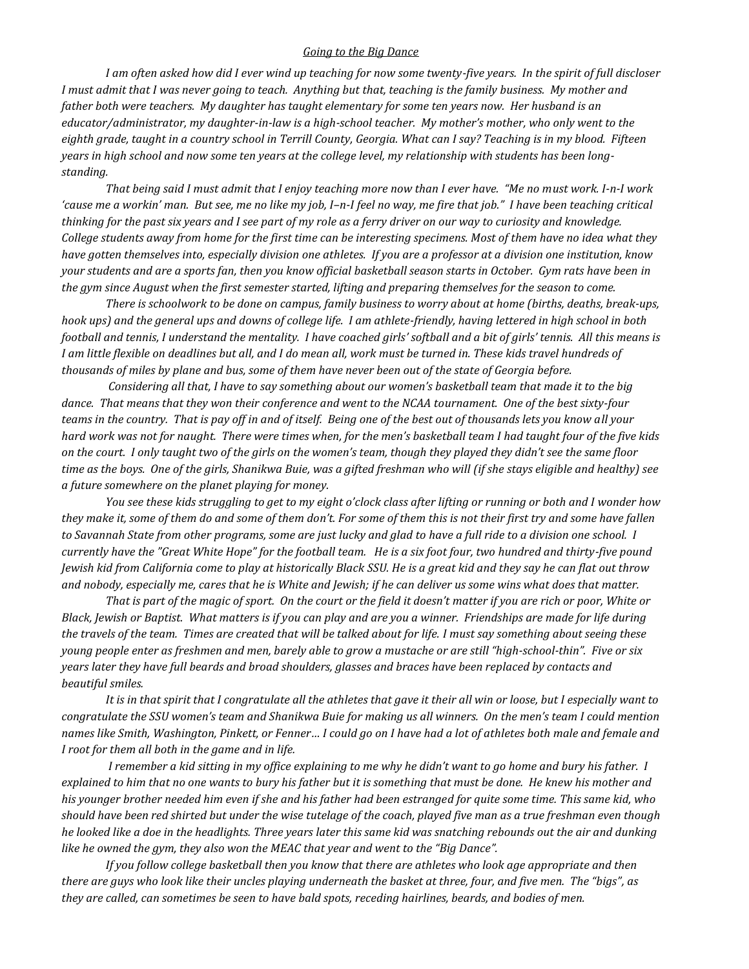## *Going to the Big Dance*

*I am often asked how did I ever wind up teaching for now some twenty-five years. In the spirit of full discloser I must admit that I was never going to teach. Anything but that, teaching is the family business. My mother and father both were teachers. My daughter has taught elementary for some ten years now. Her husband is an educator/administrator, my daughter-in-law is a high-school teacher. My mother's mother, who only went to the eighth grade, taught in a country school in Terrill County, Georgia. What can I say? Teaching is in my blood. Fifteen years in high school and now some ten years at the college level, my relationship with students has been longstanding.*

*That being said I must admit that I enjoy teaching more now than I ever have. "Me no must work. I-n-I work 'cause me a workin' man. But see, me no like my job, I–n-I feel no way, me fire that job." I have been teaching critical thinking for the past six years and I see part of my role as a ferry driver on our way to curiosity and knowledge. College students away from home for the first time can be interesting specimens. Most of them have no idea what they have gotten themselves into, especially division one athletes. If you are a professor at a division one institution, know your students and are a sports fan, then you know official basketball season starts in October. Gym rats have been in the gym since August when the first semester started, lifting and preparing themselves for the season to come.*

*There is schoolwork to be done on campus, family business to worry about at home (births, deaths, break-ups, hook ups) and the general ups and downs of college life. I am athlete-friendly, having lettered in high school in both football and tennis, I understand the mentality. I have coached girls' softball and a bit of girls' tennis. All this means is I am little flexible on deadlines but all, and I do mean all, work must be turned in. These kids travel hundreds of thousands of miles by plane and bus, some of them have never been out of the state of Georgia before.* 

*Considering all that, I have to say something about our women's basketball team that made it to the big dance. That means that they won their conference and went to the NCAA tournament. One of the best sixty-four teams in the country. That is pay off in and of itself. Being one of the best out of thousands lets you know all your hard work was not for naught. There were times when, for the men's basketball team I had taught four of the five kids on the court. I only taught two of the girls on the women's team, though they played they didn't see the same floor time as the boys. One of the girls, Shanikwa Buie, was a gifted freshman who will (if she stays eligible and healthy) see a future somewhere on the planet playing for money.*

*You see these kids struggling to get to my eight o'clock class after lifting or running or both and I wonder how they make it, some of them do and some of them don't. For some of them this is not their first try and some have fallen to Savannah State from other programs, some are just lucky and glad to have a full ride to a division one school. I currently have the "Great White Hope" for the football team. He is a six foot four, two hundred and thirty-five pound Jewish kid from California come to play at historically Black SSU. He is a great kid and they say he can flat out throw and nobody, especially me, cares that he is White and Jewish; if he can deliver us some wins what does that matter.*

*That is part of the magic of sport. On the court or the field it doesn't matter if you are rich or poor, White or Black, Jewish or Baptist. What matters is if you can play and are you a winner. Friendships are made for life during the travels of the team. Times are created that will be talked about for life. I must say something about seeing these young people enter as freshmen and men, barely able to grow a mustache or are still "high-school-thin". Five or six years later they have full beards and broad shoulders, glasses and braces have been replaced by contacts and beautiful smiles.* 

*It is in that spirit that I congratulate all the athletes that gave it their all win or loose, but I especially want to congratulate the SSU women's team and Shanikwa Buie for making us all winners. On the men's team I could mention names like Smith, Washington, Pinkett, or Fenner… I could go on I have had a lot of athletes both male and female and I root for them all both in the game and in life.* 

*I remember a kid sitting in my office explaining to me why he didn't want to go home and bury his father. I explained to him that no one wants to bury his father but it is something that must be done. He knew his mother and his younger brother needed him even if she and his father had been estranged for quite some time. This same kid, who should have been red shirted but under the wise tutelage of the coach, played five man as a true freshman even though he looked like a doe in the headlights. Three years later this same kid was snatching rebounds out the air and dunking like he owned the gym, they also won the MEAC that year and went to the "Big Dance".*

*If you follow college basketball then you know that there are athletes who look age appropriate and then there are guys who look like their uncles playing underneath the basket at three, four, and five men. The "bigs", as they are called, can sometimes be seen to have bald spots, receding hairlines, beards, and bodies of men.*